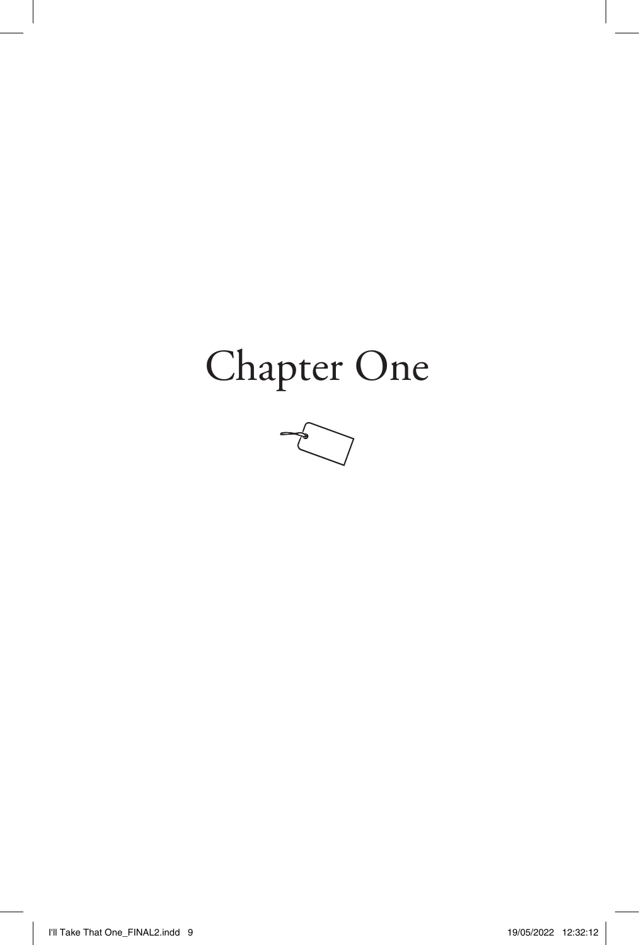## Chapter One

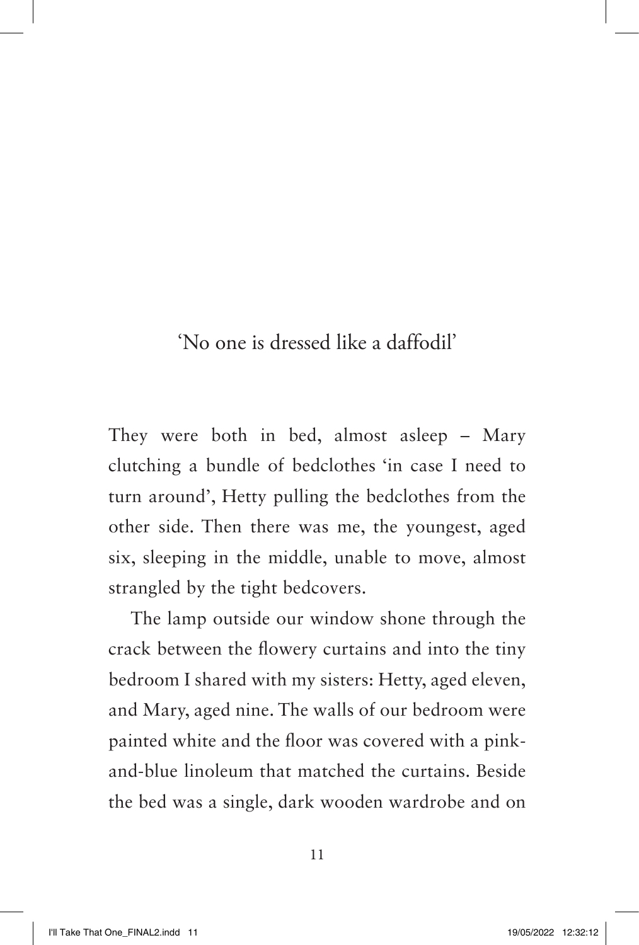'No one is dressed like a daffodil'

They were both in bed, almost asleep – Mary clutching a bundle of bedclothes 'in case I need to turn around', Hetty pulling the bedclothes from the other side. Then there was me, the youngest, aged six, sleeping in the middle, unable to move, almost strangled by the tight bedcovers.

The lamp outside our window shone through the crack between the flowery curtains and into the tiny bedroom I shared with my sisters: Hetty, aged eleven, and Mary, aged nine. The walls of our bedroom were painted white and the floor was covered with a pinkand-blue linoleum that matched the curtains. Beside the bed was a single, dark wooden wardrobe and on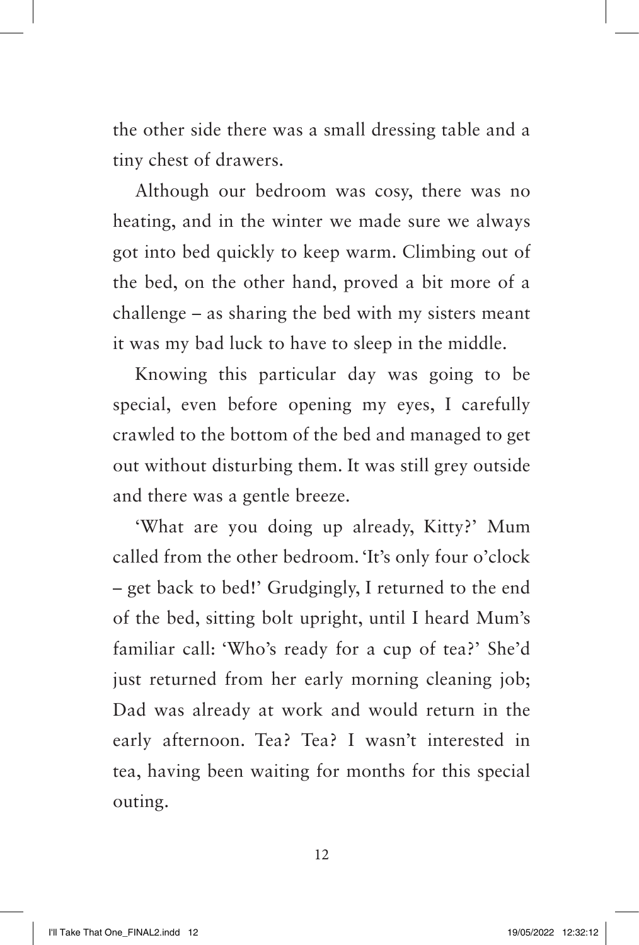the other side there was a small dressing table and a tiny chest of drawers.

Although our bedroom was cosy, there was no heating, and in the winter we made sure we always got into bed quickly to keep warm. Climbing out of the bed, on the other hand, proved a bit more of a challenge – as sharing the bed with my sisters meant it was my bad luck to have to sleep in the middle.

Knowing this particular day was going to be special, even before opening my eyes, I carefully crawled to the bottom of the bed and managed to get out without disturbing them. It was still grey outside and there was a gentle breeze.

'What are you doing up already, Kitty?' Mum called from the other bedroom. 'It's only four o'clock – get back to bed!' Grudgingly, I returned to the end of the bed, sitting bolt upright, until I heard Mum's familiar call: 'Who's ready for a cup of tea?' She'd just returned from her early morning cleaning job; Dad was already at work and would return in the early afternoon. Tea? Tea? I wasn't interested in tea, having been waiting for months for this special outing.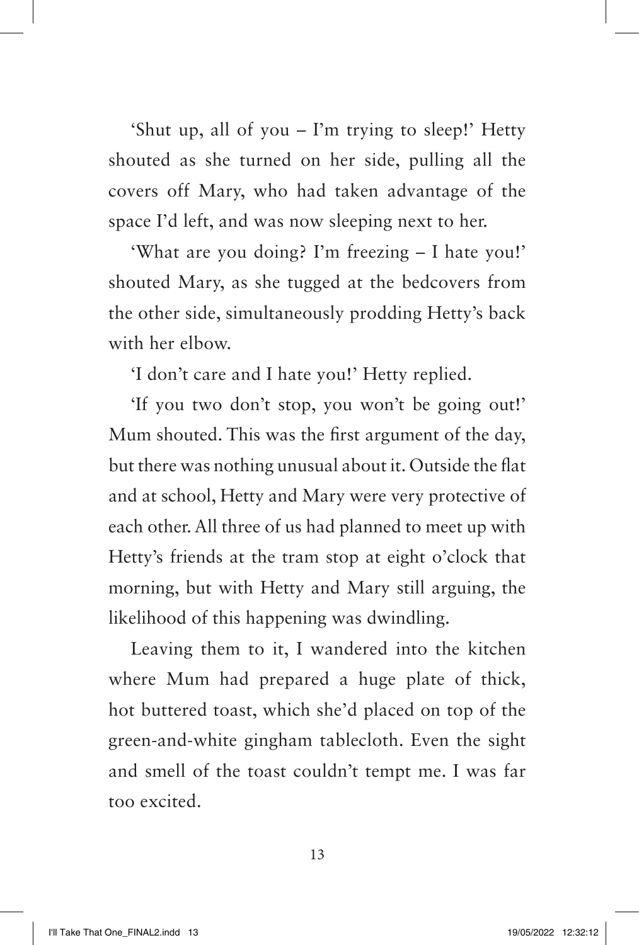'Shut up, all of you – I'm trying to sleep!' Hetty shouted as she turned on her side, pulling all the covers off Mary, who had taken advantage of the space I'd left, and was now sleeping next to her.

'What are you doing? I'm freezing – I hate you!' shouted Mary, as she tugged at the bedcovers from the other side, simultaneously prodding Hetty's back with her elbow.

'I don't care and I hate you!' Hetty replied.

'If you two don't stop, you won't be going out!' Mum shouted. This was the first argument of the day, but there was nothing unusual about it. Outside the flat and at school, Hetty and Mary were very protective of each other. All three of us had planned to meet up with Hetty's friends at the tram stop at eight o'clock that morning, but with Hetty and Mary still arguing, the likelihood of this happening was dwindling.

Leaving them to it, I wandered into the kitchen where Mum had prepared a huge plate of thick, hot buttered toast, which she'd placed on top of the green-and-white gingham tablecloth. Even the sight and smell of the toast couldn't tempt me. I was far too excited.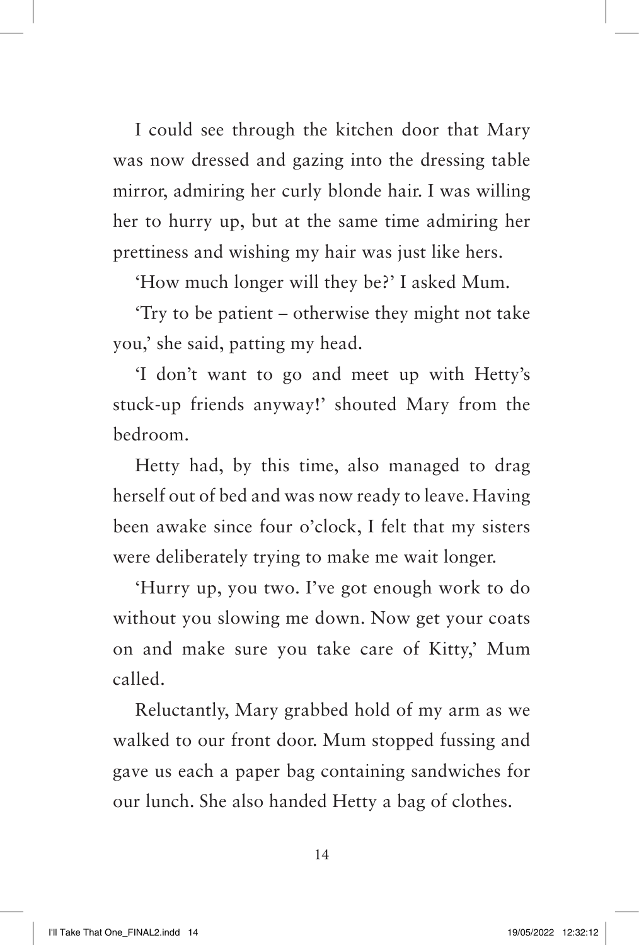I could see through the kitchen door that Mary was now dressed and gazing into the dressing table mirror, admiring her curly blonde hair. I was willing her to hurry up, but at the same time admiring her prettiness and wishing my hair was just like hers.

'How much longer will they be?' I asked Mum.

'Try to be patient – otherwise they might not take you,' she said, patting my head.

'I don't want to go and meet up with Hetty's stuck-up friends anyway!' shouted Mary from the bedroom.

Hetty had, by this time, also managed to drag herself out of bed and was now ready to leave. Having been awake since four o'clock, I felt that my sisters were deliberately trying to make me wait longer.

'Hurry up, you two. I've got enough work to do without you slowing me down. Now get your coats on and make sure you take care of Kitty,' Mum called.

Reluctantly, Mary grabbed hold of my arm as we walked to our front door. Mum stopped fussing and gave us each a paper bag containing sandwiches for our lunch. She also handed Hetty a bag of clothes.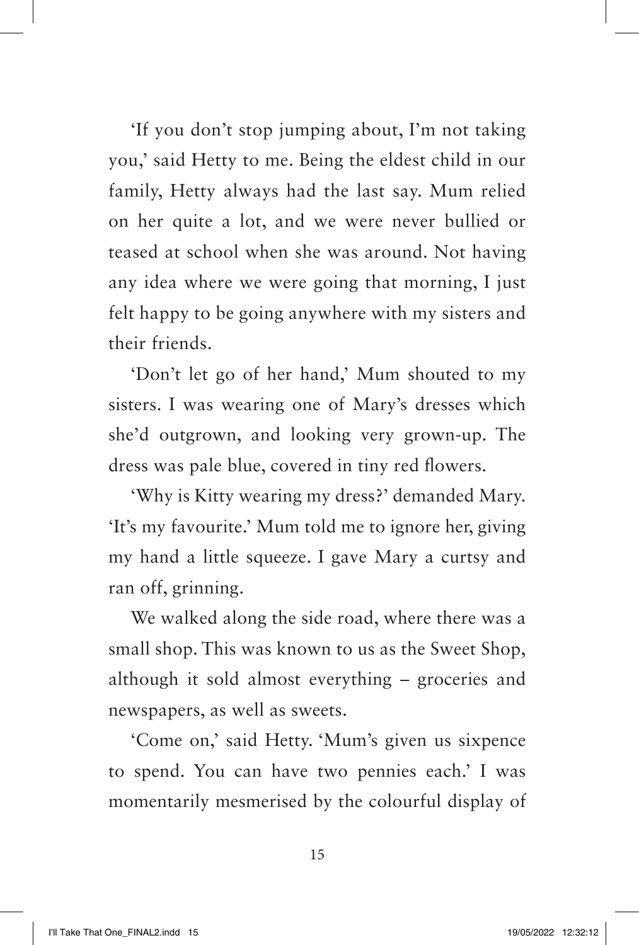'If you don't stop jumping about, I'm not taking you,' said Hetty to me. Being the eldest child in our family, Hetty always had the last say. Mum relied on her quite a lot, and we were never bullied or teased at school when she was around. Not having any idea where we were going that morning, I just felt happy to be going anywhere with my sisters and their friends.

'Don't let go of her hand,' Mum shouted to my sisters. I was wearing one of Mary's dresses which she'd outgrown, and looking very grown-up. The dress was pale blue, covered in tiny red flowers.

'Why is Kitty wearing my dress?' demanded Mary. 'It's my favourite.' Mum told me to ignore her, giving my hand a little squeeze. I gave Mary a curtsy and ran off, grinning.

We walked along the side road, where there was a small shop. This was known to us as the Sweet Shop, although it sold almost everything – groceries and newspapers, as well as sweets.

'Come on,' said Hetty. 'Mum's given us sixpence to spend. You can have two pennies each.' I was momentarily mesmerised by the colourful display of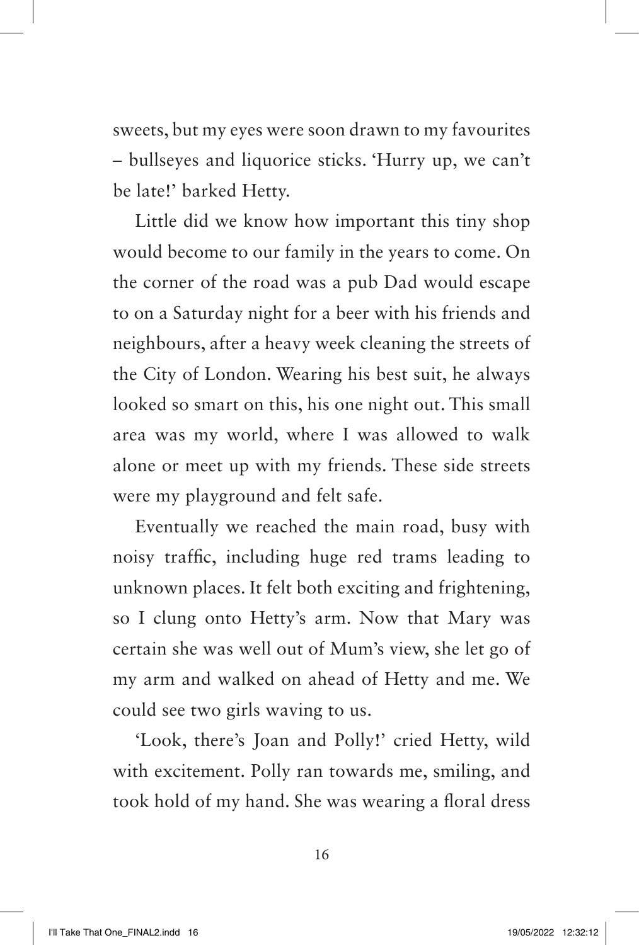sweets, but my eyes were soon drawn to my favourites – bullseyes and liquorice sticks. 'Hurry up, we can't be late!' barked Hetty.

Little did we know how important this tiny shop would become to our family in the years to come. On the corner of the road was a pub Dad would escape to on a Saturday night for a beer with his friends and neighbours, after a heavy week cleaning the streets of the City of London. Wearing his best suit, he always looked so smart on this, his one night out. This small area was my world, where I was allowed to walk alone or meet up with my friends. These side streets were my playground and felt safe.

Eventually we reached the main road, busy with noisy traffic, including huge red trams leading to unknown places. It felt both exciting and frightening, so I clung onto Hetty's arm. Now that Mary was certain she was well out of Mum's view, she let go of my arm and walked on ahead of Hetty and me. We could see two girls waving to us.

'Look, there's Joan and Polly!' cried Hetty, wild with excitement. Polly ran towards me, smiling, and took hold of my hand. She was wearing a floral dress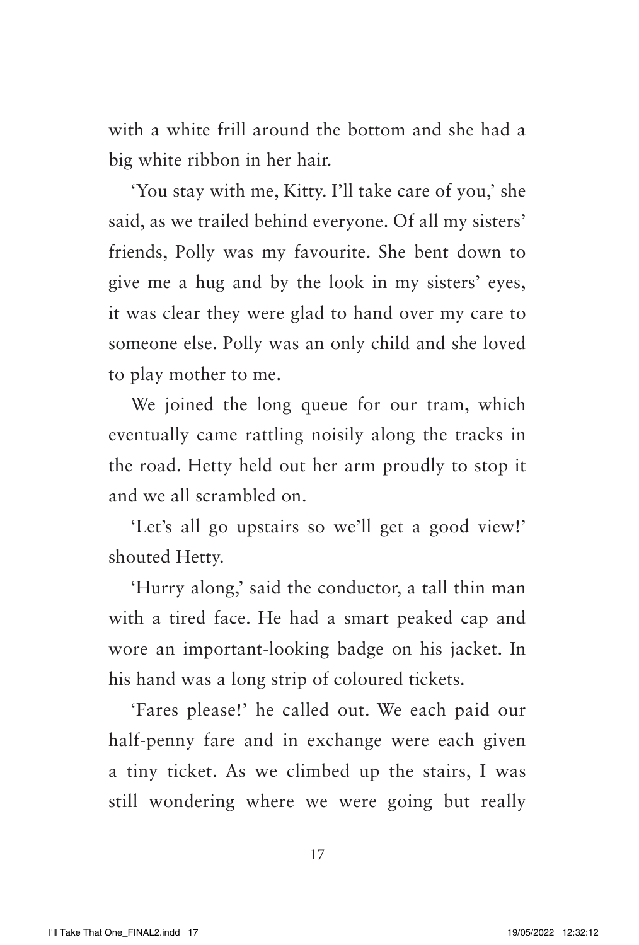with a white frill around the bottom and she had a big white ribbon in her hair.

'You stay with me, Kitty. I'll take care of you,' she said, as we trailed behind everyone. Of all my sisters' friends, Polly was my favourite. She bent down to give me a hug and by the look in my sisters' eyes, it was clear they were glad to hand over my care to someone else. Polly was an only child and she loved to play mother to me.

We joined the long queue for our tram, which eventually came rattling noisily along the tracks in the road. Hetty held out her arm proudly to stop it and we all scrambled on.

'Let's all go upstairs so we'll get a good view!' shouted Hetty.

'Hurry along,' said the conductor, a tall thin man with a tired face. He had a smart peaked cap and wore an important-looking badge on his jacket. In his hand was a long strip of coloured tickets.

'Fares please!' he called out. We each paid our half-penny fare and in exchange were each given a tiny ticket. As we climbed up the stairs, I was still wondering where we were going but really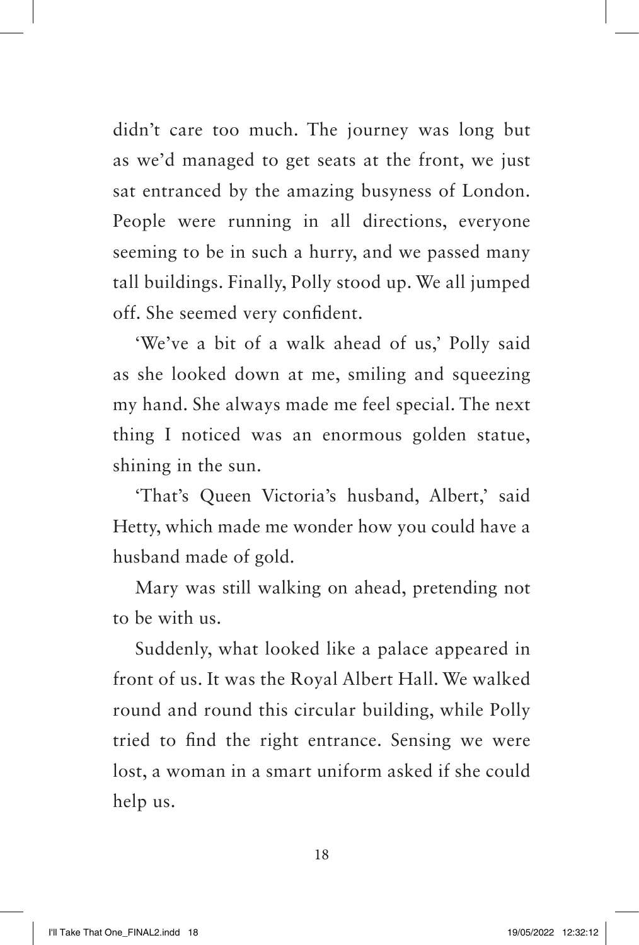didn't care too much. The journey was long but as we'd managed to get seats at the front, we just sat entranced by the amazing busyness of London. People were running in all directions, everyone seeming to be in such a hurry, and we passed many tall buildings. Finally, Polly stood up. We all jumped off. She seemed very confident.

'We've a bit of a walk ahead of us,' Polly said as she looked down at me, smiling and squeezing my hand. She always made me feel special. The next thing I noticed was an enormous golden statue, shining in the sun.

'That's Queen Victoria's husband, Albert,' said Hetty, which made me wonder how you could have a husband made of gold.

Mary was still walking on ahead, pretending not to be with us.

Suddenly, what looked like a palace appeared in front of us. It was the Royal Albert Hall. We walked round and round this circular building, while Polly tried to find the right entrance. Sensing we were lost, a woman in a smart uniform asked if she could help us.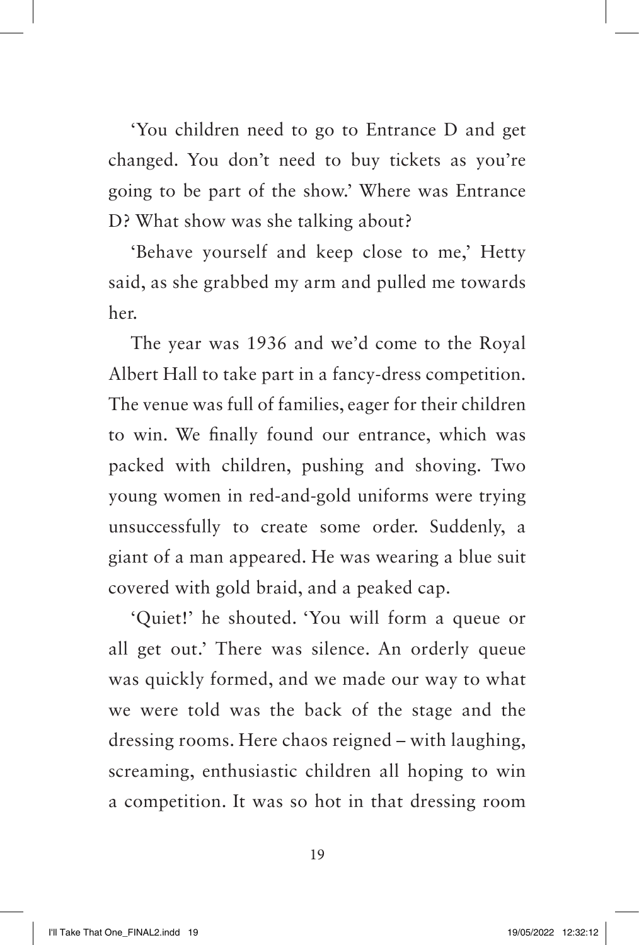'You children need to go to Entrance D and get changed. You don't need to buy tickets as you're going to be part of the show.' Where was Entrance D? What show was she talking about?

'Behave yourself and keep close to me,' Hetty said, as she grabbed my arm and pulled me towards her.

The year was 1936 and we'd come to the Royal Albert Hall to take part in a fancy-dress competition. The venue was full of families, eager for their children to win. We finally found our entrance, which was packed with children, pushing and shoving. Two young women in red-and-gold uniforms were trying unsuccessfully to create some order. Suddenly, a giant of a man appeared. He was wearing a blue suit covered with gold braid, and a peaked cap.

'Quiet!' he shouted. 'You will form a queue or all get out.' There was silence. An orderly queue was quickly formed, and we made our way to what we were told was the back of the stage and the dressing rooms. Here chaos reigned – with laughing, screaming, enthusiastic children all hoping to win a competition. It was so hot in that dressing room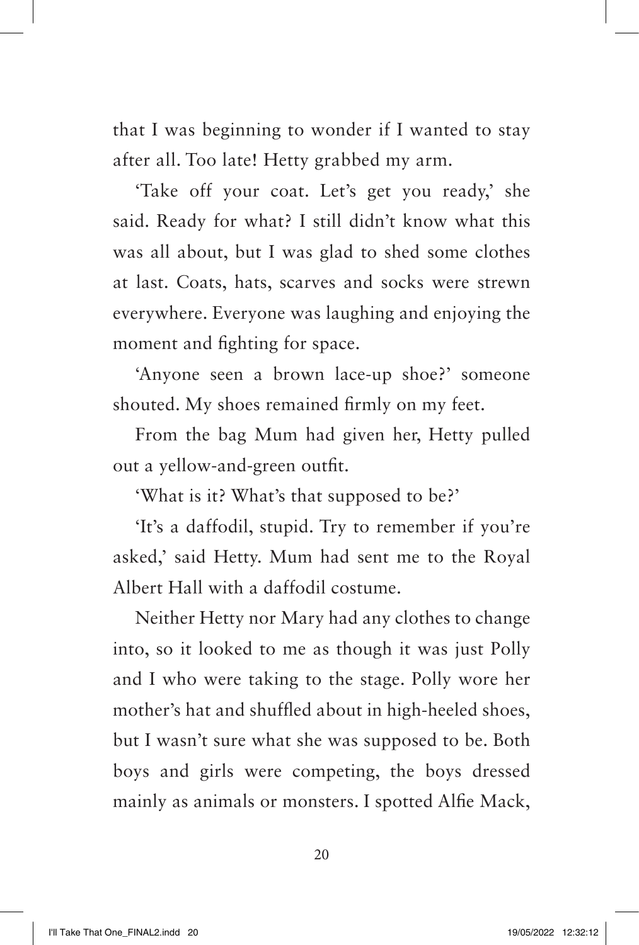that I was beginning to wonder if I wanted to stay after all. Too late! Hetty grabbed my arm.

'Take off your coat. Let's get you ready,' she said. Ready for what? I still didn't know what this was all about, but I was glad to shed some clothes at last. Coats, hats, scarves and socks were strewn everywhere. Everyone was laughing and enjoying the moment and fighting for space.

'Anyone seen a brown lace-up shoe?' someone shouted. My shoes remained firmly on my feet.

From the bag Mum had given her, Hetty pulled out a yellow-and-green outfit.

'What is it? What's that supposed to be?'

'It's a daffodil, stupid. Try to remember if you're asked,' said Hetty. Mum had sent me to the Royal Albert Hall with a daffodil costume.

Neither Hetty nor Mary had any clothes to change into, so it looked to me as though it was just Polly and I who were taking to the stage. Polly wore her mother's hat and shuffled about in high-heeled shoes, but I wasn't sure what she was supposed to be. Both boys and girls were competing, the boys dressed mainly as animals or monsters. I spotted Alfie Mack,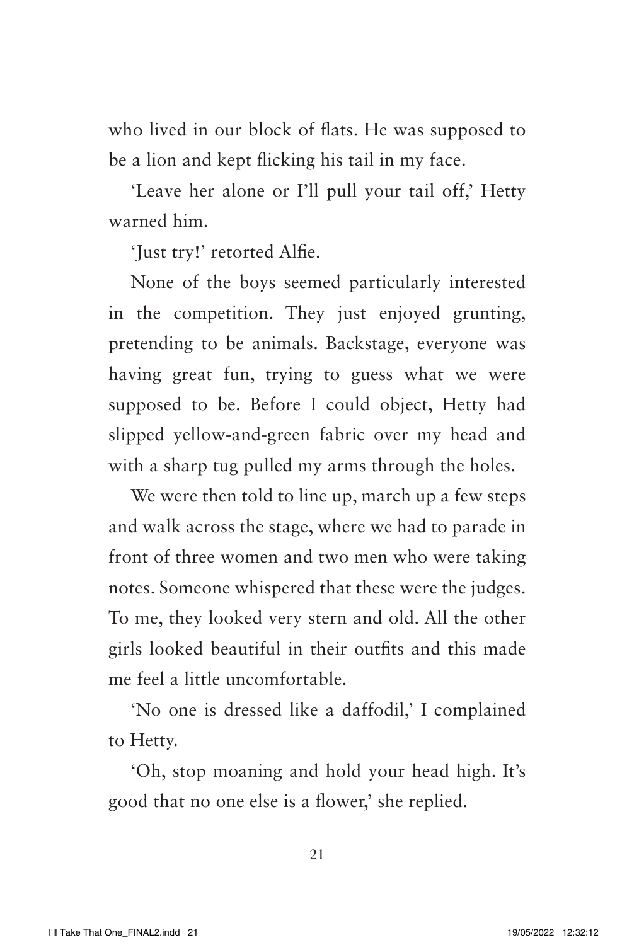who lived in our block of flats. He was supposed to be a lion and kept flicking his tail in my face.

'Leave her alone or I'll pull your tail off,' Hetty warned him.

'Just try!' retorted Alfie.

None of the boys seemed particularly interested in the competition. They just enjoyed grunting, pretending to be animals. Backstage, everyone was having great fun, trying to guess what we were supposed to be. Before I could object, Hetty had slipped yellow-and-green fabric over my head and with a sharp tug pulled my arms through the holes.

We were then told to line up, march up a few steps and walk across the stage, where we had to parade in front of three women and two men who were taking notes. Someone whispered that these were the judges. To me, they looked very stern and old. All the other girls looked beautiful in their outfits and this made me feel a little uncomfortable.

'No one is dressed like a daffodil,' I complained to Hetty.

'Oh, stop moaning and hold your head high. It's good that no one else is a flower,' she replied.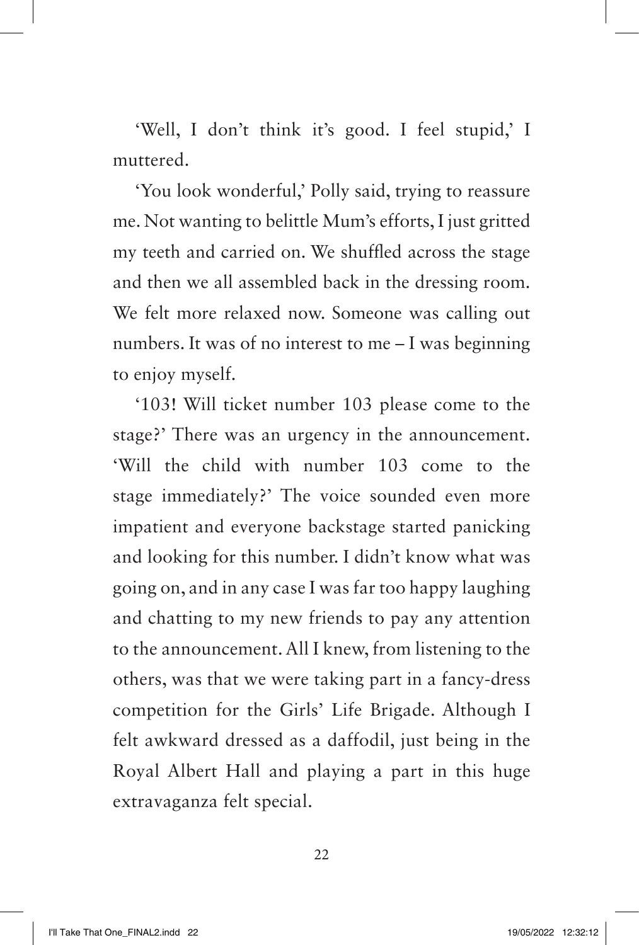'Well, I don't think it's good. I feel stupid,' I muttered.

'You look wonderful,' Polly said, trying to reassure me. Not wanting to belittle Mum's efforts, I just gritted my teeth and carried on. We shuffled across the stage and then we all assembled back in the dressing room. We felt more relaxed now. Someone was calling out numbers. It was of no interest to me – I was beginning to enjoy myself.

'103! Will ticket number 103 please come to the stage?' There was an urgency in the announcement. 'Will the child with number 103 come to the stage immediately?' The voice sounded even more impatient and everyone backstage started panicking and looking for this number. I didn't know what was going on, and in any case I was far too happy laughing and chatting to my new friends to pay any attention to the announcement. All I knew, from listening to the others, was that we were taking part in a fancy-dress competition for the Girls' Life Brigade. Although I felt awkward dressed as a daffodil, just being in the Royal Albert Hall and playing a part in this huge extravaganza felt special.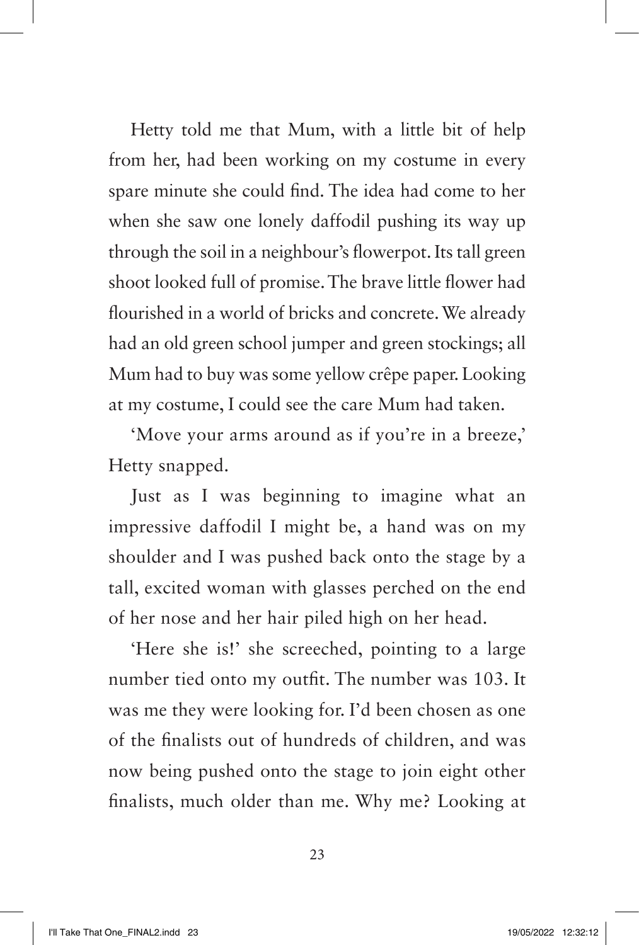Hetty told me that Mum, with a little bit of help from her, had been working on my costume in every spare minute she could find. The idea had come to her when she saw one lonely daffodil pushing its way up through the soil in a neighbour's flowerpot. Its tall green shoot looked full of promise. The brave little flower had flourished in a world of bricks and concrete. We already had an old green school jumper and green stockings; all Mum had to buy was some yellow crêpe paper. Looking at my costume, I could see the care Mum had taken.

'Move your arms around as if you're in a breeze,' Hetty snapped.

Just as I was beginning to imagine what an impressive daffodil I might be, a hand was on my shoulder and I was pushed back onto the stage by a tall, excited woman with glasses perched on the end of her nose and her hair piled high on her head.

'Here she is!' she screeched, pointing to a large number tied onto my outfit. The number was 103. It was me they were looking for. I'd been chosen as one of the finalists out of hundreds of children, and was now being pushed onto the stage to join eight other finalists, much older than me. Why me? Looking at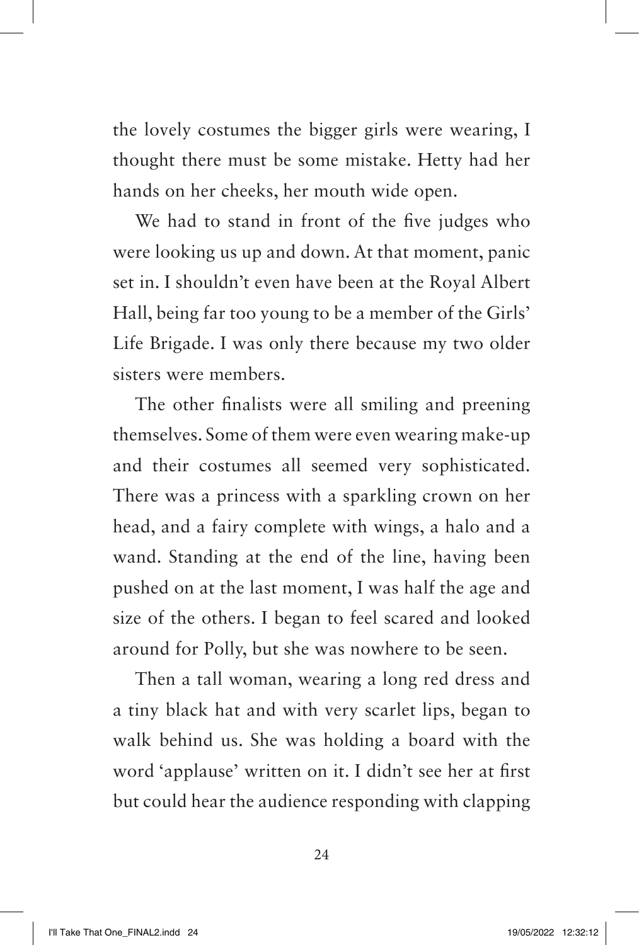the lovely costumes the bigger girls were wearing, I thought there must be some mistake. Hetty had her hands on her cheeks, her mouth wide open.

We had to stand in front of the five judges who were looking us up and down. At that moment, panic set in. I shouldn't even have been at the Royal Albert Hall, being far too young to be a member of the Girls' Life Brigade. I was only there because my two older sisters were members.

The other finalists were all smiling and preening themselves. Some of them were even wearing make-up and their costumes all seemed very sophisticated. There was a princess with a sparkling crown on her head, and a fairy complete with wings, a halo and a wand. Standing at the end of the line, having been pushed on at the last moment, I was half the age and size of the others. I began to feel scared and looked around for Polly, but she was nowhere to be seen.

Then a tall woman, wearing a long red dress and a tiny black hat and with very scarlet lips, began to walk behind us. She was holding a board with the word 'applause' written on it. I didn't see her at first but could hear the audience responding with clapping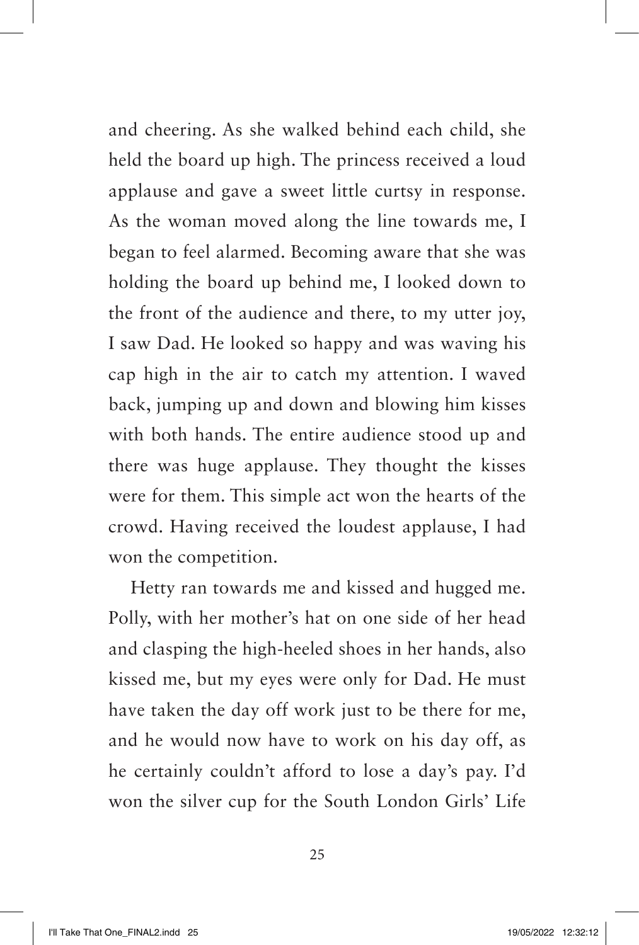and cheering. As she walked behind each child, she held the board up high. The princess received a loud applause and gave a sweet little curtsy in response. As the woman moved along the line towards me, I began to feel alarmed. Becoming aware that she was holding the board up behind me, I looked down to the front of the audience and there, to my utter joy, I saw Dad. He looked so happy and was waving his cap high in the air to catch my attention. I waved back, jumping up and down and blowing him kisses with both hands. The entire audience stood up and there was huge applause. They thought the kisses were for them. This simple act won the hearts of the crowd. Having received the loudest applause, I had won the competition.

Hetty ran towards me and kissed and hugged me. Polly, with her mother's hat on one side of her head and clasping the high-heeled shoes in her hands, also kissed me, but my eyes were only for Dad. He must have taken the day off work just to be there for me, and he would now have to work on his day off, as he certainly couldn't afford to lose a day's pay. I'd won the silver cup for the South London Girls' Life